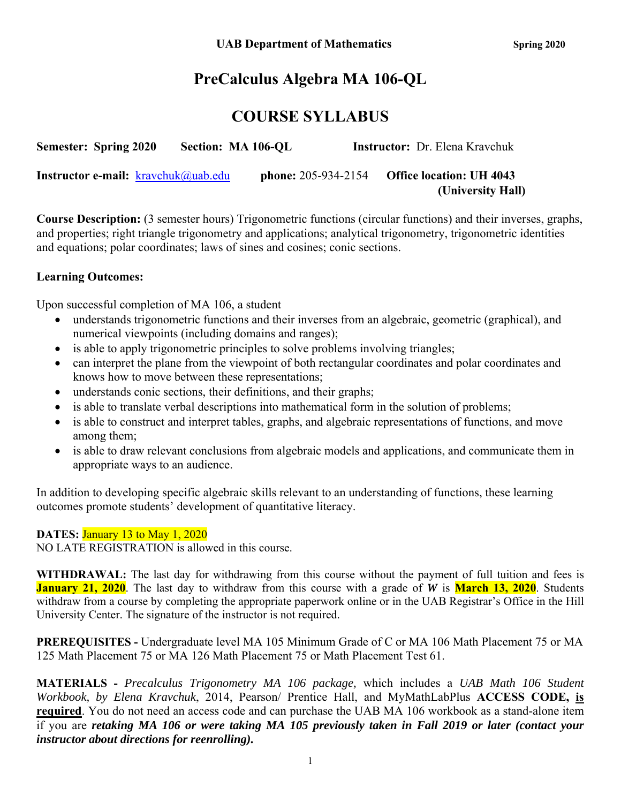# **PreCalculus Algebra MA 106-QL**

# **COURSE SYLLABUS**

| <b>Semester: Spring 2020</b>                  | Section: MA 106-OL |                            | <b>Instructor:</b> Dr. Elena Kravchuk |
|-----------------------------------------------|--------------------|----------------------------|---------------------------------------|
| <b>Instructor e-mail:</b> $k$ ravchuk@uab.edu |                    | <b>phone:</b> 205-934-2154 | <b>Office location: UH 4043</b>       |
|                                               |                    |                            | (University Hall)                     |

**Course Description:** (3 semester hours) Trigonometric functions (circular functions) and their inverses, graphs, and properties; right triangle trigonometry and applications; analytical trigonometry, trigonometric identities and equations; polar coordinates; laws of sines and cosines; conic sections.

# **Learning Outcomes:**

Upon successful completion of MA 106, a student

- understands trigonometric functions and their inverses from an algebraic, geometric (graphical), and numerical viewpoints (including domains and ranges);
- is able to apply trigonometric principles to solve problems involving triangles;
- can interpret the plane from the viewpoint of both rectangular coordinates and polar coordinates and knows how to move between these representations;
- understands conic sections, their definitions, and their graphs;
- is able to translate verbal descriptions into mathematical form in the solution of problems;
- is able to construct and interpret tables, graphs, and algebraic representations of functions, and move among them;
- is able to draw relevant conclusions from algebraic models and applications, and communicate them in appropriate ways to an audience.

In addition to developing specific algebraic skills relevant to an understanding of functions, these learning outcomes promote students' development of quantitative literacy.

### **DATES:** January 13 to May 1, 2020

NO LATE REGISTRATION is allowed in this course.

**WITHDRAWAL:** The last day for withdrawing from this course without the payment of full tuition and fees is **January 21, 2020**. The last day to withdraw from this course with a grade of *W* is **March 13, 2020**. Students withdraw from a course by completing the appropriate paperwork online or in the UAB Registrar's Office in the Hill University Center. The signature of the instructor is not required.

**PREREQUISITES -** Undergraduate level MA 105 Minimum Grade of C or MA 106 Math Placement 75 or MA 125 Math Placement 75 or MA 126 Math Placement 75 or Math Placement Test 61.

**MATERIALS -** *Precalculus Trigonometry MA 106 package,* which includes a *UAB Math 106 Student Workbook, by Elena Kravchuk*, 2014, Pearson/ Prentice Hall, and MyMathLabPlus **ACCESS CODE, is required**. You do not need an access code and can purchase the UAB MA 106 workbook as a stand-alone item if you are *retaking MA 106 or were taking MA 105 previously taken in Fall 2019 or later (contact your instructor about directions for reenrolling).*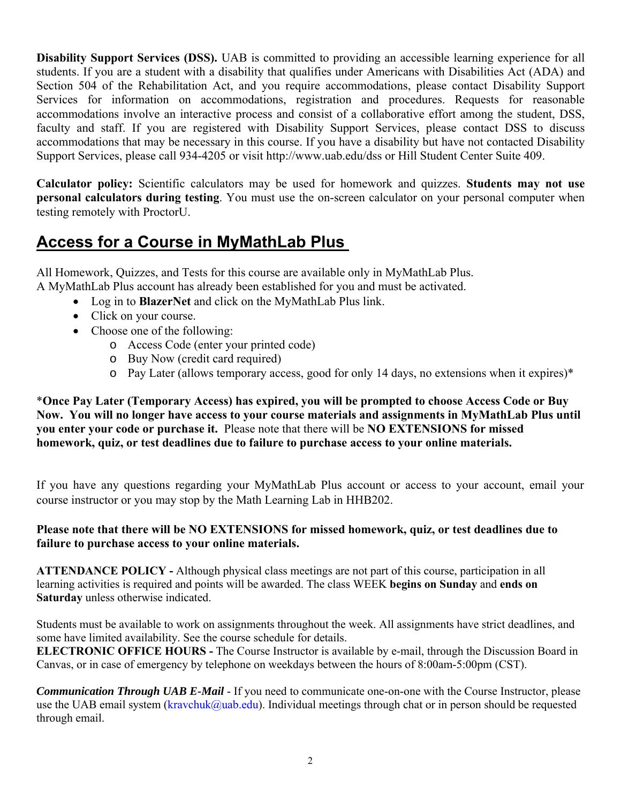**Disability Support Services (DSS).** UAB is committed to providing an accessible learning experience for all students. If you are a student with a disability that qualifies under Americans with Disabilities Act (ADA) and Section 504 of the Rehabilitation Act, and you require accommodations, please contact Disability Support Services for information on accommodations, registration and procedures. Requests for reasonable accommodations involve an interactive process and consist of a collaborative effort among the student, DSS, faculty and staff. If you are registered with Disability Support Services, please contact DSS to discuss accommodations that may be necessary in this course. If you have a disability but have not contacted Disability Support Services, please call 934-4205 or visit http://www.uab.edu/dss or Hill Student Center Suite 409.

**Calculator policy:** Scientific calculators may be used for homework and quizzes. **Students may not use personal calculators during testing**. You must use the on-screen calculator on your personal computer when testing remotely with ProctorU.

# **Access for a Course in MyMathLab Plus**

All Homework, Quizzes, and Tests for this course are available only in MyMathLab Plus. A MyMathLab Plus account has already been established for you and must be activated.

- Log in to **BlazerNet** and click on the MyMathLab Plus link.
- Click on your course.
- Choose one of the following:
	- o Access Code (enter your printed code)
	- o Buy Now (credit card required)
	- o Pay Later (allows temporary access, good for only 14 days, no extensions when it expires)\*

\***Once Pay Later (Temporary Access) has expired, you will be prompted to choose Access Code or Buy Now. You will no longer have access to your course materials and assignments in MyMathLab Plus until you enter your code or purchase it.** Please note that there will be **NO EXTENSIONS for missed homework, quiz, or test deadlines due to failure to purchase access to your online materials.** 

If you have any questions regarding your MyMathLab Plus account or access to your account, email your course instructor or you may stop by the Math Learning Lab in HHB202.

## **Please note that there will be NO EXTENSIONS for missed homework, quiz, or test deadlines due to failure to purchase access to your online materials.**

**ATTENDANCE POLICY -** Although physical class meetings are not part of this course, participation in all learning activities is required and points will be awarded. The class WEEK **begins on Sunday** and **ends on Saturday** unless otherwise indicated.

Students must be available to work on assignments throughout the week. All assignments have strict deadlines, and some have limited availability. See the course schedule for details.

**ELECTRONIC OFFICE HOURS -** The Course Instructor is available by e-mail, through the Discussion Board in Canvas, or in case of emergency by telephone on weekdays between the hours of 8:00am-5:00pm (CST).

*Communication Through UAB E-Mail* - If you need to communicate one-on-one with the Course Instructor, please use the UAB email system (kravchuk@uab.edu). Individual meetings through chat or in person should be requested through email.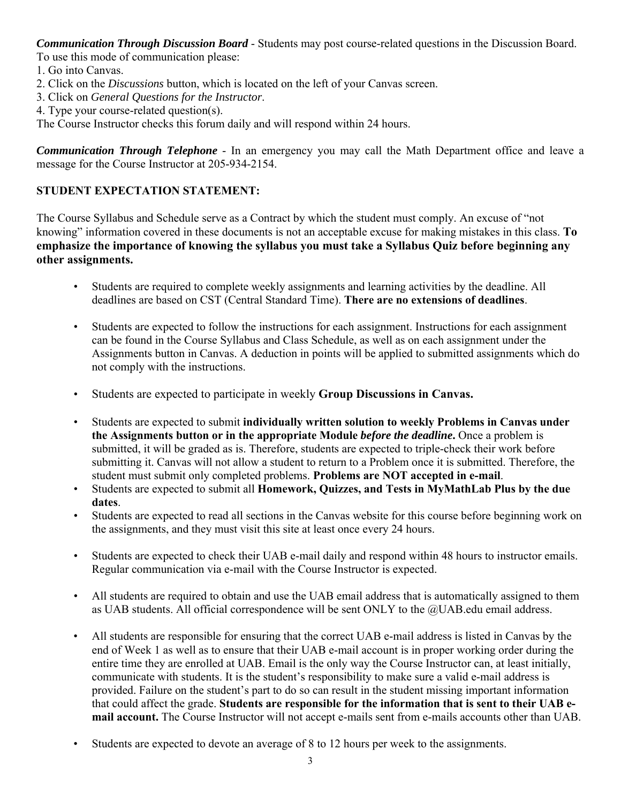*Communication Through Discussion Board* - Students may post course-related questions in the Discussion Board. To use this mode of communication please:

- 1. Go into Canvas.
- 2. Click on the *Discussions* button, which is located on the left of your Canvas screen.
- 3. Click on *General Questions for the Instructor*.
- 4. Type your course-related question(s).

The Course Instructor checks this forum daily and will respond within 24 hours.

*Communication Through Telephone* - In an emergency you may call the Math Department office and leave a message for the Course Instructor at 205-934-2154.

# **STUDENT EXPECTATION STATEMENT:**

The Course Syllabus and Schedule serve as a Contract by which the student must comply. An excuse of "not knowing" information covered in these documents is not an acceptable excuse for making mistakes in this class. **To emphasize the importance of knowing the syllabus you must take a Syllabus Quiz before beginning any other assignments.**

- Students are required to complete weekly assignments and learning activities by the deadline. All deadlines are based on CST (Central Standard Time). **There are no extensions of deadlines**.
- Students are expected to follow the instructions for each assignment. Instructions for each assignment can be found in the Course Syllabus and Class Schedule, as well as on each assignment under the Assignments button in Canvas. A deduction in points will be applied to submitted assignments which do not comply with the instructions.
- Students are expected to participate in weekly **Group Discussions in Canvas.**
- Students are expected to submit **individually written solution to weekly Problems in Canvas under the Assignments button or in the appropriate Module** *before the deadline***.** Once a problem is submitted, it will be graded as is. Therefore, students are expected to triple-check their work before submitting it. Canvas will not allow a student to return to a Problem once it is submitted. Therefore, the student must submit only completed problems. **Problems are NOT accepted in e-mail**.
- Students are expected to submit all **Homework, Quizzes, and Tests in MyMathLab Plus by the due dates**.
- Students are expected to read all sections in the Canvas website for this course before beginning work on the assignments, and they must visit this site at least once every 24 hours.
- Students are expected to check their UAB e-mail daily and respond within 48 hours to instructor emails. Regular communication via e-mail with the Course Instructor is expected.
- All students are required to obtain and use the UAB email address that is automatically assigned to them as UAB students. All official correspondence will be sent ONLY to the @UAB.edu email address.
- All students are responsible for ensuring that the correct UAB e-mail address is listed in Canvas by the end of Week 1 as well as to ensure that their UAB e-mail account is in proper working order during the entire time they are enrolled at UAB. Email is the only way the Course Instructor can, at least initially, communicate with students. It is the student's responsibility to make sure a valid e-mail address is provided. Failure on the student's part to do so can result in the student missing important information that could affect the grade. **Students are responsible for the information that is sent to their UAB email account.** The Course Instructor will not accept e-mails sent from e-mails accounts other than UAB.
- Students are expected to devote an average of 8 to 12 hours per week to the assignments.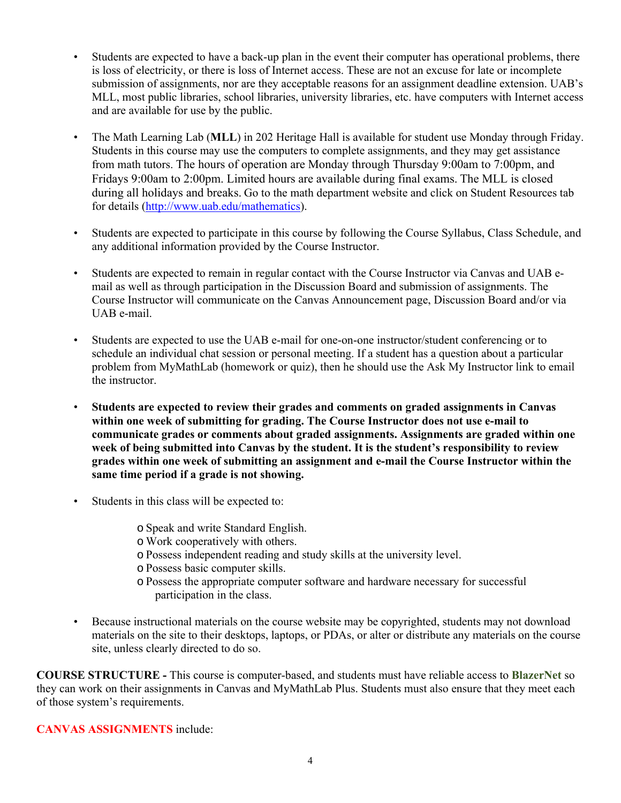- Students are expected to have a back-up plan in the event their computer has operational problems, there is loss of electricity, or there is loss of Internet access. These are not an excuse for late or incomplete submission of assignments, nor are they acceptable reasons for an assignment deadline extension. UAB's MLL, most public libraries, school libraries, university libraries, etc. have computers with Internet access and are available for use by the public.
- The Math Learning Lab (**MLL**) in 202 Heritage Hall is available for student use Monday through Friday. Students in this course may use the computers to complete assignments, and they may get assistance from math tutors. The hours of operation are Monday through Thursday 9:00am to 7:00pm, and Fridays 9:00am to 2:00pm. Limited hours are available during final exams. The MLL is closed during all holidays and breaks. Go to the math department website and click on Student Resources tab for details (http://www.uab.edu/mathematics).
- Students are expected to participate in this course by following the Course Syllabus, Class Schedule, and any additional information provided by the Course Instructor.
- Students are expected to remain in regular contact with the Course Instructor via Canvas and UAB email as well as through participation in the Discussion Board and submission of assignments. The Course Instructor will communicate on the Canvas Announcement page, Discussion Board and/or via UAB e-mail.
- Students are expected to use the UAB e-mail for one-on-one instructor/student conferencing or to schedule an individual chat session or personal meeting. If a student has a question about a particular problem from MyMathLab (homework or quiz), then he should use the Ask My Instructor link to email the instructor.
- **Students are expected to review their grades and comments on graded assignments in Canvas within one week of submitting for grading. The Course Instructor does not use e-mail to communicate grades or comments about graded assignments. Assignments are graded within one week of being submitted into Canvas by the student. It is the student's responsibility to review grades within one week of submitting an assignment and e-mail the Course Instructor within the same time period if a grade is not showing.**
- Students in this class will be expected to:
	- o Speak and write Standard English.
	- o Work cooperatively with others.
	- o Possess independent reading and study skills at the university level.
	- o Possess basic computer skills.
	- o Possess the appropriate computer software and hardware necessary for successful participation in the class.
- Because instructional materials on the course website may be copyrighted, students may not download materials on the site to their desktops, laptops, or PDAs, or alter or distribute any materials on the course site, unless clearly directed to do so.

**COURSE STRUCTURE -** This course is computer-based, and students must have reliable access to **BlazerNet** so they can work on their assignments in Canvas and MyMathLab Plus. Students must also ensure that they meet each of those system's requirements.

**CANVAS ASSIGNMENTS** include: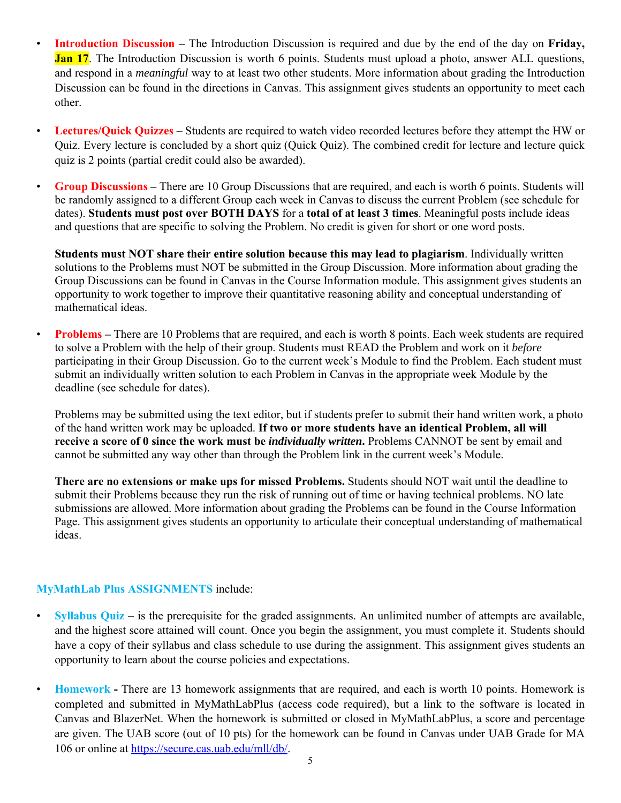- **Introduction Discussion** The Introduction Discussion is required and due by the end of the day on **Friday, Jan 17.** The Introduction Discussion is worth 6 points. Students must upload a photo, answer ALL questions, and respond in a *meaningful* way to at least two other students. More information about grading the Introduction Discussion can be found in the directions in Canvas. This assignment gives students an opportunity to meet each other.
- **Lectures/Quick Quizzes** Students are required to watch video recorded lectures before they attempt the HW or Quiz. Every lecture is concluded by a short quiz (Quick Quiz). The combined credit for lecture and lecture quick quiz is 2 points (partial credit could also be awarded).
- **Group Discussions** There are 10 Group Discussions that are required, and each is worth 6 points. Students will be randomly assigned to a different Group each week in Canvas to discuss the current Problem (see schedule for dates). **Students must post over BOTH DAYS** for a **total of at least 3 times**. Meaningful posts include ideas and questions that are specific to solving the Problem. No credit is given for short or one word posts.

**Students must NOT share their entire solution because this may lead to plagiarism**. Individually written solutions to the Problems must NOT be submitted in the Group Discussion. More information about grading the Group Discussions can be found in Canvas in the Course Information module. This assignment gives students an opportunity to work together to improve their quantitative reasoning ability and conceptual understanding of mathematical ideas.

• **Problems** – There are 10 Problems that are required, and each is worth 8 points. Each week students are required to solve a Problem with the help of their group. Students must READ the Problem and work on it *before*  participating in their Group Discussion. Go to the current week's Module to find the Problem. Each student must submit an individually written solution to each Problem in Canvas in the appropriate week Module by the deadline (see schedule for dates).

Problems may be submitted using the text editor, but if students prefer to submit their hand written work, a photo of the hand written work may be uploaded. **If two or more students have an identical Problem, all will receive a score of 0 since the work must be** *individually written***.** Problems CANNOT be sent by email and cannot be submitted any way other than through the Problem link in the current week's Module.

**There are no extensions or make ups for missed Problems.** Students should NOT wait until the deadline to submit their Problems because they run the risk of running out of time or having technical problems. NO late submissions are allowed. More information about grading the Problems can be found in the Course Information Page. This assignment gives students an opportunity to articulate their conceptual understanding of mathematical ideas.

### **MyMathLab Plus ASSIGNMENTS** include:

- **Syllabus Quiz** is the prerequisite for the graded assignments. An unlimited number of attempts are available, and the highest score attained will count. Once you begin the assignment, you must complete it. Students should have a copy of their syllabus and class schedule to use during the assignment. This assignment gives students an opportunity to learn about the course policies and expectations.
- **Homework** There are 13 homework assignments that are required, and each is worth 10 points. Homework is completed and submitted in MyMathLabPlus (access code required), but a link to the software is located in Canvas and BlazerNet. When the homework is submitted or closed in MyMathLabPlus, a score and percentage are given. The UAB score (out of 10 pts) for the homework can be found in Canvas under UAB Grade for MA 106 or online at https://secure.cas.uab.edu/mll/db/.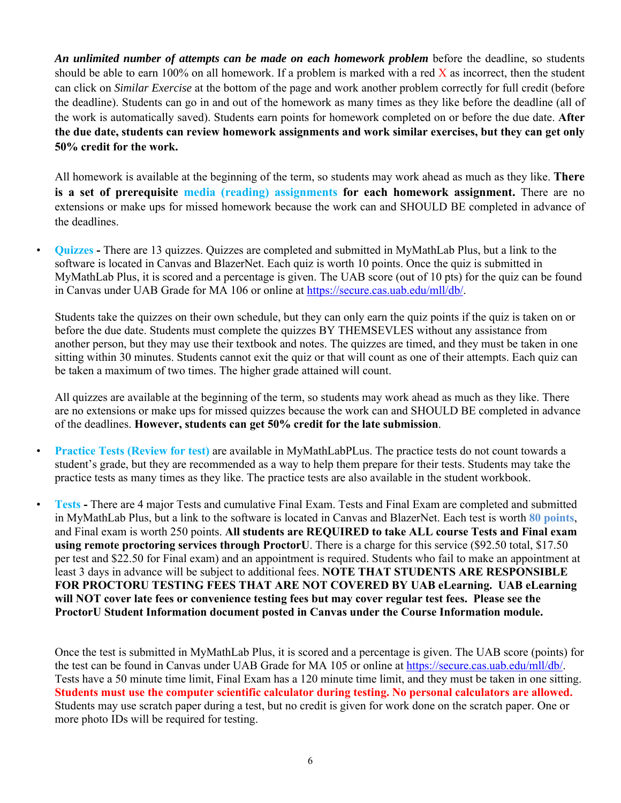*An unlimited number of attempts can be made on each homework problem* before the deadline, so students should be able to earn 100% on all homework. If a problem is marked with a red  $X$  as incorrect, then the student can click on *Similar Exercise* at the bottom of the page and work another problem correctly for full credit (before the deadline). Students can go in and out of the homework as many times as they like before the deadline (all of the work is automatically saved). Students earn points for homework completed on or before the due date. **After the due date, students can review homework assignments and work similar exercises, but they can get only 50% credit for the work.** 

All homework is available at the beginning of the term, so students may work ahead as much as they like. **There is a set of prerequisite media (reading) assignments for each homework assignment.** There are no extensions or make ups for missed homework because the work can and SHOULD BE completed in advance of the deadlines.

• **Quizzes -** There are 13 quizzes. Quizzes are completed and submitted in MyMathLab Plus, but a link to the software is located in Canvas and BlazerNet. Each quiz is worth 10 points. Once the quiz is submitted in MyMathLab Plus, it is scored and a percentage is given. The UAB score (out of 10 pts) for the quiz can be found in Canvas under UAB Grade for MA 106 or online at https://secure.cas.uab.edu/mll/db/.

Students take the quizzes on their own schedule, but they can only earn the quiz points if the quiz is taken on or before the due date. Students must complete the quizzes BY THEMSEVLES without any assistance from another person, but they may use their textbook and notes. The quizzes are timed, and they must be taken in one sitting within 30 minutes. Students cannot exit the quiz or that will count as one of their attempts. Each quiz can be taken a maximum of two times. The higher grade attained will count.

All quizzes are available at the beginning of the term, so students may work ahead as much as they like. There are no extensions or make ups for missed quizzes because the work can and SHOULD BE completed in advance of the deadlines. **However, students can get 50% credit for the late submission**.

- **Practice Tests (Review for test)** are available in MyMathLabPLus. The practice tests do not count towards a student's grade, but they are recommended as a way to help them prepare for their tests. Students may take the practice tests as many times as they like. The practice tests are also available in the student workbook.
	- **Tests** There are 4 major Tests and cumulative Final Exam. Tests and Final Exam are completed and submitted in MyMathLab Plus, but a link to the software is located in Canvas and BlazerNet. Each test is worth **80 points**, and Final exam is worth 250 points. **All students are REQUIRED to take ALL course Tests and Final exam using remote proctoring services through ProctorU**. There is a charge for this service (\$92.50 total, \$17.50 per test and \$22.50 for Final exam) and an appointment is required. Students who fail to make an appointment at least 3 days in advance will be subject to additional fees. **NOTE THAT STUDENTS ARE RESPONSIBLE**  FOR PROCTORU TESTING FEES THAT ARE NOT COVERED BY UAB eLearning. UAB eLearning **will NOT cover late fees or convenience testing fees but may cover regular test fees. Please see the ProctorU Student Information document posted in Canvas under the Course Information module.**

Once the test is submitted in MyMathLab Plus, it is scored and a percentage is given. The UAB score (points) for the test can be found in Canvas under UAB Grade for MA 105 or online at https://secure.cas.uab.edu/mll/db/. Tests have a 50 minute time limit, Final Exam has a 120 minute time limit, and they must be taken in one sitting. **Students must use the computer scientific calculator during testing. No personal calculators are allowed.** Students may use scratch paper during a test, but no credit is given for work done on the scratch paper. One or more photo IDs will be required for testing.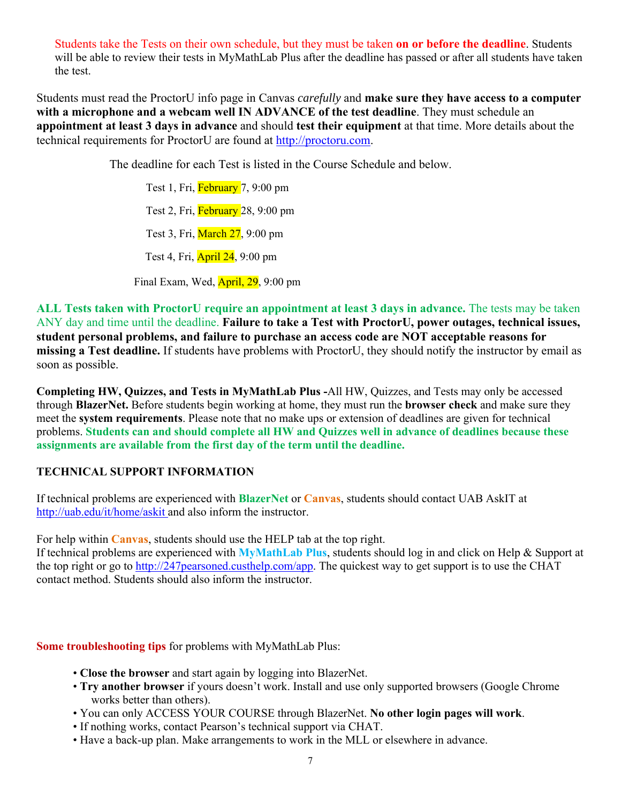Students take the Tests on their own schedule, but they must be taken **on or before the deadline**. Students will be able to review their tests in MyMathLab Plus after the deadline has passed or after all students have taken the test.

Students must read the ProctorU info page in Canvas *carefully* and **make sure they have access to a computer with a microphone and a webcam well IN ADVANCE of the test deadline**. They must schedule an **appointment at least 3 days in advance** and should **test their equipment** at that time. More details about the technical requirements for ProctorU are found at http://proctoru.com.

The deadline for each Test is listed in the Course Schedule and below.

Test 1, Fri, February 7, 9:00 pm Test 2, Fri, February 28, 9:00 pm Test 3, Fri, March 27, 9:00 pm Test 4, Fri, April 24, 9:00 pm

Final Exam, Wed, April, 29, 9:00 pm

**ALL Tests taken with ProctorU require an appointment at least 3 days in advance.** The tests may be taken ANY day and time until the deadline. **Failure to take a Test with ProctorU, power outages, technical issues, student personal problems, and failure to purchase an access code are NOT acceptable reasons for missing a Test deadline.** If students have problems with ProctorU, they should notify the instructor by email as soon as possible.

**Completing HW, Quizzes, and Tests in MyMathLab Plus -**All HW, Quizzes, and Tests may only be accessed through **BlazerNet.** Before students begin working at home, they must run the **browser check** and make sure they meet the **system requirements**. Please note that no make ups or extension of deadlines are given for technical problems. **Students can and should complete all HW and Quizzes well in advance of deadlines because these assignments are available from the first day of the term until the deadline.** 

#### **TECHNICAL SUPPORT INFORMATION**

If technical problems are experienced with **BlazerNet** or **Canvas**, students should contact UAB AskIT at http://uab.edu/it/home/askit and also inform the instructor.

For help within **Canvas**, students should use the HELP tab at the top right. If technical problems are experienced with **MyMathLab Plus**, students should log in and click on Help & Support at the top right or go to http://247pearsoned.custhelp.com/app. The quickest way to get support is to use the CHAT contact method. Students should also inform the instructor.

**Some troubleshooting tips** for problems with MyMathLab Plus:

- **Close the browser** and start again by logging into BlazerNet.
- **Try another browser** if yours doesn't work. Install and use only supported browsers (Google Chrome works better than others).
- You can only ACCESS YOUR COURSE through BlazerNet. **No other login pages will work**.
- If nothing works, contact Pearson's technical support via CHAT.
- Have a back-up plan. Make arrangements to work in the MLL or elsewhere in advance.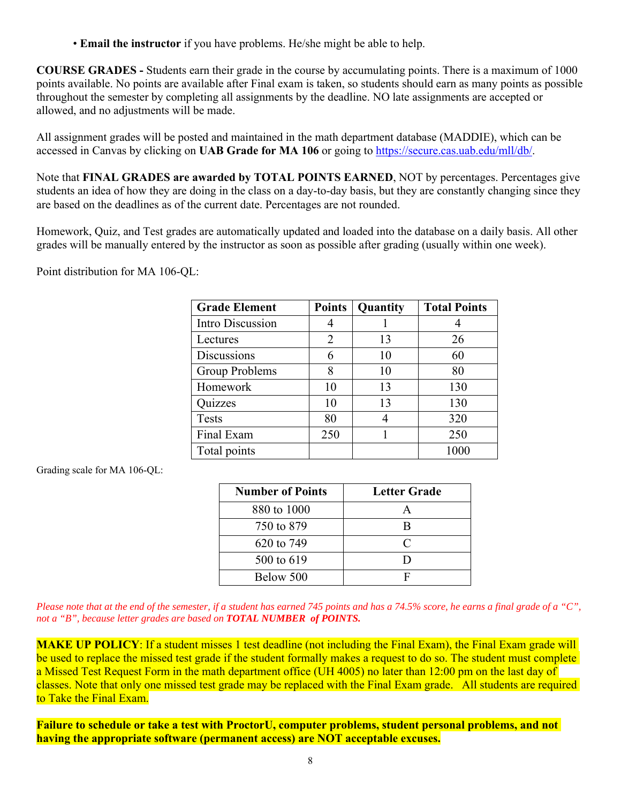• **Email the instructor** if you have problems. He/she might be able to help.

**COURSE GRADES -** Students earn their grade in the course by accumulating points. There is a maximum of 1000 points available. No points are available after Final exam is taken, so students should earn as many points as possible throughout the semester by completing all assignments by the deadline. NO late assignments are accepted or allowed, and no adjustments will be made.

All assignment grades will be posted and maintained in the math department database (MADDIE), which can be accessed in Canvas by clicking on **UAB Grade for MA 106** or going to https://secure.cas.uab.edu/mll/db/.

Note that **FINAL GRADES are awarded by TOTAL POINTS EARNED**, NOT by percentages. Percentages give students an idea of how they are doing in the class on a day-to-day basis, but they are constantly changing since they are based on the deadlines as of the current date. Percentages are not rounded.

Homework, Quiz, and Test grades are automatically updated and loaded into the database on a daily basis. All other grades will be manually entered by the instructor as soon as possible after grading (usually within one week).

Point distribution for MA 106-QL:

| <b>Grade Element</b> | <b>Points</b> | Quantity | <b>Total Points</b> |
|----------------------|---------------|----------|---------------------|
| Intro Discussion     |               |          |                     |
| Lectures             | 2             | 13       | 26                  |
| Discussions          | 6             | 10       | 60                  |
| Group Problems       | 8             | 10       | 80                  |
| Homework             | 10            | 13       | 130                 |
| Quizzes              | 10            | 13       | 130                 |
| <b>Tests</b>         | 80            |          | 320                 |
| Final Exam           | 250           |          | 250                 |
| Total points         |               |          | 1000                |

Grading scale for MA 106-QL:

| <b>Number of Points</b> | <b>Letter Grade</b>         |
|-------------------------|-----------------------------|
| 880 to 1000             |                             |
| 750 to 879              | В                           |
| 620 to 749              | $\mathcal{C}_{\mathcal{C}}$ |
| 500 to 619              | D                           |
| Below 500               | F                           |

*Please note that at the end of the semester, if a student has earned 745 points and has a 74.5% score, he earns a final grade of a "C", not a "B", because letter grades are based on TOTAL NUMBER of POINTS.*

**MAKE UP POLICY:** If a student misses 1 test deadline (not including the Final Exam), the Final Exam grade will be used to replace the missed test grade if the student formally makes a request to do so. The student must complete a Missed Test Request Form in the math department office (UH 4005) no later than 12:00 pm on the last day of classes. Note that only one missed test grade may be replaced with the Final Exam grade. All students are required to Take the Final Exam.

**Failure to schedule or take a test with ProctorU, computer problems, student personal problems, and not having the appropriate software (permanent access) are NOT acceptable excuses.**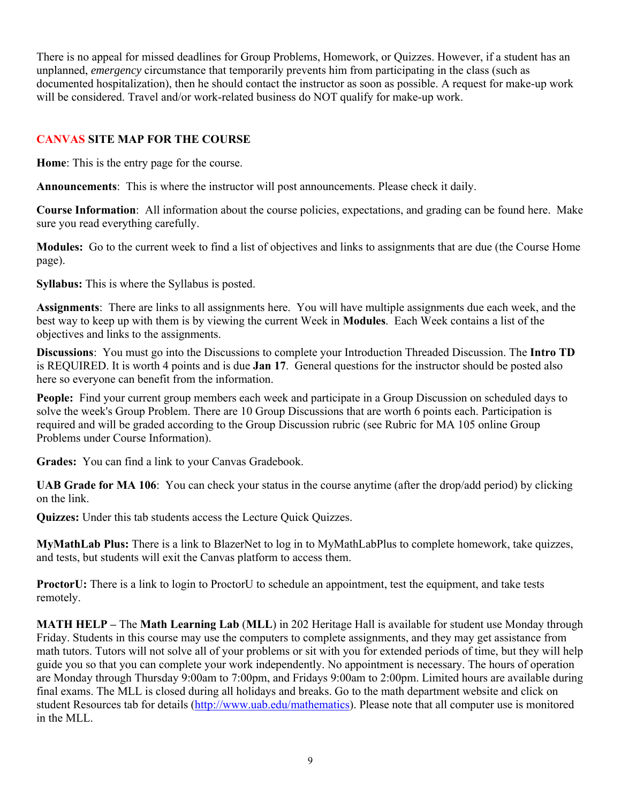There is no appeal for missed deadlines for Group Problems, Homework, or Quizzes. However, if a student has an unplanned, *emergency* circumstance that temporarily prevents him from participating in the class (such as documented hospitalization), then he should contact the instructor as soon as possible. A request for make-up work will be considered. Travel and/or work-related business do NOT qualify for make-up work.

### **CANVAS SITE MAP FOR THE COURSE**

**Home**: This is the entry page for the course.

**Announcements**: This is where the instructor will post announcements. Please check it daily.

**Course Information**: All information about the course policies, expectations, and grading can be found here. Make sure you read everything carefully.

**Modules:** Go to the current week to find a list of objectives and links to assignments that are due (the Course Home page).

**Syllabus:** This is where the Syllabus is posted.

**Assignments**: There are links to all assignments here. You will have multiple assignments due each week, and the best way to keep up with them is by viewing the current Week in **Modules**. Each Week contains a list of the objectives and links to the assignments.

**Discussions**: You must go into the Discussions to complete your Introduction Threaded Discussion. The **Intro TD**  is REQUIRED. It is worth 4 points and is due **Jan 17**. General questions for the instructor should be posted also here so everyone can benefit from the information.

**People:** Find your current group members each week and participate in a Group Discussion on scheduled days to solve the week's Group Problem. There are 10 Group Discussions that are worth 6 points each. Participation is required and will be graded according to the Group Discussion rubric (see Rubric for MA 105 online Group Problems under Course Information).

**Grades:** You can find a link to your Canvas Gradebook.

**UAB Grade for MA 106**: You can check your status in the course anytime (after the drop/add period) by clicking on the link.

**Quizzes:** Under this tab students access the Lecture Quick Quizzes.

**MyMathLab Plus:** There is a link to BlazerNet to log in to MyMathLabPlus to complete homework, take quizzes, and tests, but students will exit the Canvas platform to access them.

**ProctorU:** There is a link to login to ProctorU to schedule an appointment, test the equipment, and take tests remotely.

**MATH HELP –** The **Math Learning Lab** (**MLL**) in 202 Heritage Hall is available for student use Monday through Friday. Students in this course may use the computers to complete assignments, and they may get assistance from math tutors. Tutors will not solve all of your problems or sit with you for extended periods of time, but they will help guide you so that you can complete your work independently. No appointment is necessary. The hours of operation are Monday through Thursday 9:00am to 7:00pm, and Fridays 9:00am to 2:00pm. Limited hours are available during final exams. The MLL is closed during all holidays and breaks. Go to the math department website and click on student Resources tab for details (http://www.uab.edu/mathematics). Please note that all computer use is monitored in the MLL.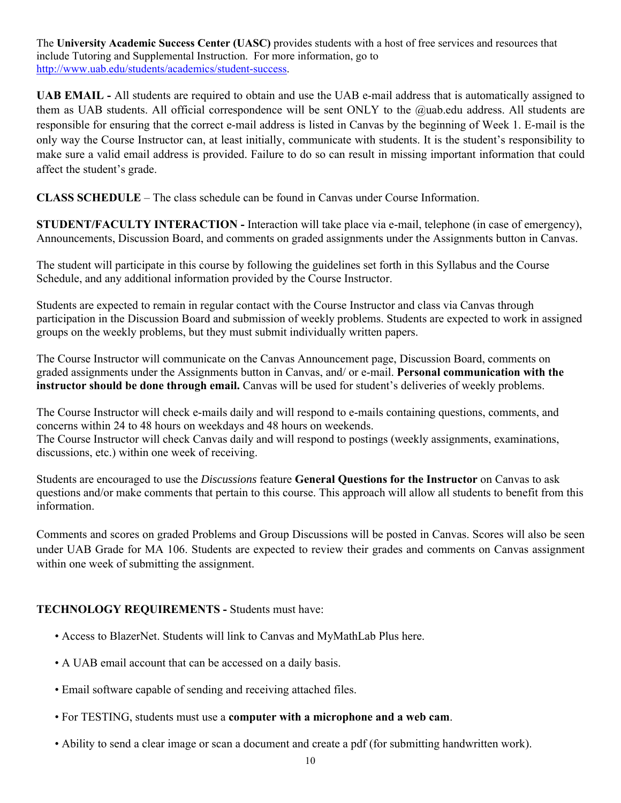The **University Academic Success Center (UASC)** provides students with a host of free services and resources that include Tutoring and Supplemental Instruction. For more information, go to http://www.uab.edu/students/academics/student-success.

**UAB EMAIL -** All students are required to obtain and use the UAB e-mail address that is automatically assigned to them as UAB students. All official correspondence will be sent ONLY to the @uab.edu address. All students are responsible for ensuring that the correct e-mail address is listed in Canvas by the beginning of Week 1. E-mail is the only way the Course Instructor can, at least initially, communicate with students. It is the student's responsibility to make sure a valid email address is provided. Failure to do so can result in missing important information that could affect the student's grade.

**CLASS SCHEDULE** – The class schedule can be found in Canvas under Course Information.

**STUDENT/FACULTY INTERACTION -** Interaction will take place via e-mail, telephone (in case of emergency), Announcements, Discussion Board, and comments on graded assignments under the Assignments button in Canvas.

The student will participate in this course by following the guidelines set forth in this Syllabus and the Course Schedule, and any additional information provided by the Course Instructor.

Students are expected to remain in regular contact with the Course Instructor and class via Canvas through participation in the Discussion Board and submission of weekly problems. Students are expected to work in assigned groups on the weekly problems, but they must submit individually written papers.

The Course Instructor will communicate on the Canvas Announcement page, Discussion Board, comments on graded assignments under the Assignments button in Canvas, and/ or e-mail. **Personal communication with the instructor should be done through email.** Canvas will be used for student's deliveries of weekly problems.

The Course Instructor will check e-mails daily and will respond to e-mails containing questions, comments, and concerns within 24 to 48 hours on weekdays and 48 hours on weekends. The Course Instructor will check Canvas daily and will respond to postings (weekly assignments, examinations, discussions, etc.) within one week of receiving.

Students are encouraged to use the *Discussions* feature **General Questions for the Instructor** on Canvas to ask questions and/or make comments that pertain to this course. This approach will allow all students to benefit from this information.

Comments and scores on graded Problems and Group Discussions will be posted in Canvas. Scores will also be seen under UAB Grade for MA 106. Students are expected to review their grades and comments on Canvas assignment within one week of submitting the assignment.

### **TECHNOLOGY REQUIREMENTS -** Students must have:

- Access to BlazerNet. Students will link to Canvas and MyMathLab Plus here.
- A UAB email account that can be accessed on a daily basis.
- Email software capable of sending and receiving attached files.
- For TESTING, students must use a **computer with a microphone and a web cam**.
- Ability to send a clear image or scan a document and create a pdf (for submitting handwritten work).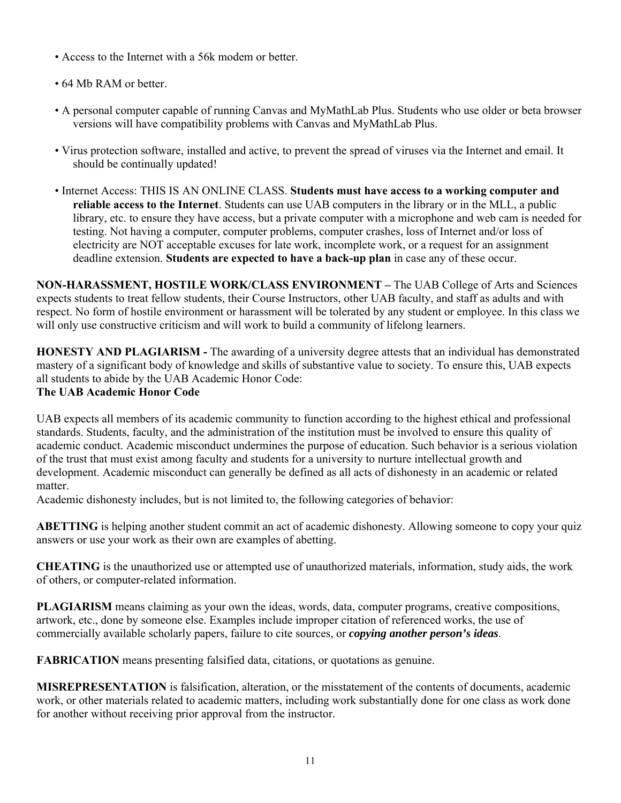- Access to the Internet with a 56k modem or better.
- 64 Mb RAM or better.
- A personal computer capable of running Canvas and MyMathLab Plus. Students who use older or beta browser versions will have compatibility problems with Canvas and MyMathLab Plus.
- Virus protection software, installed and active, to prevent the spread of viruses via the Internet and email. It should be continually updated!
- Internet Access: THIS IS AN ONLINE CLASS. **Students must have access to a working computer and reliable access to the Internet**. Students can use UAB computers in the library or in the MLL, a public library, etc. to ensure they have access, but a private computer with a microphone and web cam is needed for testing. Not having a computer, computer problems, computer crashes, loss of Internet and/or loss of electricity are NOT acceptable excuses for late work, incomplete work, or a request for an assignment deadline extension. **Students are expected to have a back-up plan** in case any of these occur.

**NON-HARASSMENT, HOSTILE WORK/CLASS ENVIRONMENT –** The UAB College of Arts and Sciences expects students to treat fellow students, their Course Instructors, other UAB faculty, and staff as adults and with respect. No form of hostile environment or harassment will be tolerated by any student or employee. In this class we will only use constructive criticism and will work to build a community of lifelong learners.

**HONESTY AND PLAGIARISM -** The awarding of a university degree attests that an individual has demonstrated mastery of a significant body of knowledge and skills of substantive value to society. To ensure this, UAB expects all students to abide by the UAB Academic Honor Code:

### **The UAB Academic Honor Code**

UAB expects all members of its academic community to function according to the highest ethical and professional standards. Students, faculty, and the administration of the institution must be involved to ensure this quality of academic conduct. Academic misconduct undermines the purpose of education. Such behavior is a serious violation of the trust that must exist among faculty and students for a university to nurture intellectual growth and development. Academic misconduct can generally be defined as all acts of dishonesty in an academic or related matter.

Academic dishonesty includes, but is not limited to, the following categories of behavior:

**ABETTING** is helping another student commit an act of academic dishonesty. Allowing someone to copy your quiz answers or use your work as their own are examples of abetting.

**CHEATING** is the unauthorized use or attempted use of unauthorized materials, information, study aids, the work of others, or computer-related information.

**PLAGIARISM** means claiming as your own the ideas, words, data, computer programs, creative compositions, artwork, etc., done by someone else. Examples include improper citation of referenced works, the use of commercially available scholarly papers, failure to cite sources, or *copying another person's ideas*.

**FABRICATION** means presenting falsified data, citations, or quotations as genuine.

**MISREPRESENTATION** is falsification, alteration, or the misstatement of the contents of documents, academic work, or other materials related to academic matters, including work substantially done for one class as work done for another without receiving prior approval from the instructor.